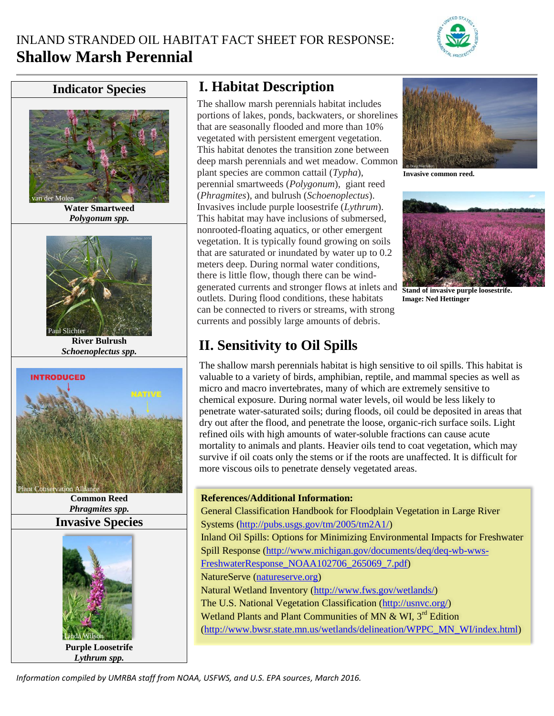

## **Indicator Species**



**Water Smartweed** *Polygonum spp.*



**River Bulrush** *Schoenoplectus spp.*



**Common Reed** *Phragmites spp.* **Invasive Species**



**Purple Loosetrife** *Lythrum spp.*

## **I. Habitat Description**

The shallow marsh perennials habitat includes portions of lakes, ponds, backwaters, or shorelines that are seasonally flooded and more than 10% vegetated with persistent emergent vegetation. This habitat denotes the transition zone between deep marsh perennials and wet meadow. Common plant species are common cattail (*Typha*), perennial smartweeds (*Polygonum*), giant reed (*Phragmites*), and bulrush (*Schoenoplectus*). Invasives include purple loosestrife (*Lythrum*). This habitat may have inclusions of submersed, nonrooted-floating aquatics, or other emergent vegetation. It is typically found growing on soils that are saturated or inundated by water up to 0.2 meters deep. During normal water conditions, there is little flow, though there can be windgenerated currents and stronger flows at inlets and outlets. During flood conditions, these habitats can be connected to rivers or streams, with strong currents and possibly large amounts of debris.



**Invasive common reed.**



**Stand of invasive purple loosestrife. Image: Ned Hettinger**

# **II. Sensitivity to Oil Spills**

The shallow marsh perennials habitat is high sensitive to oil spills. This habitat is valuable to a variety of birds, amphibian, reptile, and mammal species as well as micro and macro invertebrates, many of which are extremely sensitive to chemical exposure. During normal water levels, oil would be less likely to penetrate water-saturated soils; during floods, oil could be deposited in areas that dry out after the flood, and penetrate the loose, organic-rich surface soils. Light refined oils with high amounts of water-soluble fractions can cause acute mortality to animals and plants. Heavier oils tend to coat vegetation, which may survive if oil coats only the stems or if the roots are unaffected. It is difficult for more viscous oils to penetrate densely vegetated areas.

## **References/Additional Information:**

General Classification Handbook for Floodplain Vegetation in Large River Systems [\(http://pubs.usgs.gov/tm/2005/tm2A1/\)](http://pubs.usgs.gov/tm/2005/tm2A1/) Inland Oil Spills: Options for Minimizing Environmental Impacts for Freshwater Spill Response [\(http://www.michigan.gov/documents/deq/deq-wb-wws-](http://www.michigan.gov/documents/deq/deq-wb-wws-FreshwaterResponse_NOAA102706_265069_7.pdf)[FreshwaterResponse\\_NOAA102706\\_265069\\_7.pdf\)](http://www.michigan.gov/documents/deq/deq-wb-wws-FreshwaterResponse_NOAA102706_265069_7.pdf) NatureServe [\(natureserve.org\)](http://www.natureserve.org/) Natural Wetland Inventory [\(http://www.fws.gov/wetlands/\)](http://www.fws.gov/wetlands/) The U.S. National Vegetation Classification [\(http://usnvc.org/\)](http://usnvc.org/) Wetland Plants and Plant Communities of MN  $\&$  WI, 3<sup>rd</sup> Edition [\(http://www.bwsr.state.mn.us/wetlands/delineation/WPPC\\_MN\\_WI/index.html\)](http://www.bwsr.state.mn.us/wetlands/delineation/WPPC_MN_WI/index.html)

*Information compiled by UMRBA staff from NOAA, USFWS, and U.S. EPA sources, March 2016.*